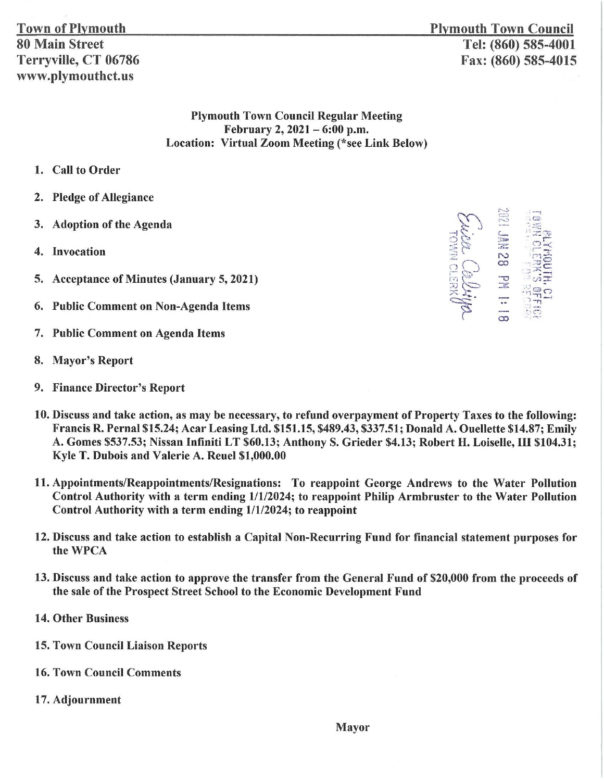**Plymouth Town Council** Tel: (860) 585-4001 Fax: (860) 585-4015

## **Plymouth Town Council Regular Meeting** February 2, 2021 - 6:00 p.m. **Location: Virtual Zoom Meeting (\*see Link Below)**

- 1. Call to Order
- 2. Pledge of Allegiance
- 3. Adoption of the Agenda
- 4. Invocation
- 5. Acceptance of Minutes (January 5, 2021)
- **Public Comment on Non-Agenda Items** 6.
- 7. Public Comment on Agenda Items
- 8. Mayor's Report
- 9. Finance Director's Report
- 10. Discuss and take action, as may be necessary, to refund overpayment of Property Taxes to the following: Francis R. Pernal \$15.24; Acar Leasing Ltd. \$151.15, \$489.43, \$337.51; Donald A. Ouellette \$14.87; Emily A. Gomes \$537.53; Nissan Infiniti LT \$60.13; Anthony S. Grieder \$4.13; Robert H. Loiselle, III \$104.31; Kyle T. Dubois and Valerie A. Reuel \$1,000.00
- 11. Appointments/Reappointments/Resignations: To reappoint George Andrews to the Water Pollution Control Authority with a term ending 1/1/2024; to reappoint Philip Armbruster to the Water Pollution Control Authority with a term ending 1/1/2024; to reappoint
- 12. Discuss and take action to establish a Capital Non-Recurring Fund for financial statement purposes for the WPCA
- 13. Discuss and take action to approve the transfer from the General Fund of \$20,000 from the proceeds of the sale of the Prospect Street School to the Economic Development Fund
- **14. Other Business**
- **15. Town Council Liaison Reports**
- **16. Town Council Comments**
- 17. Adjournment